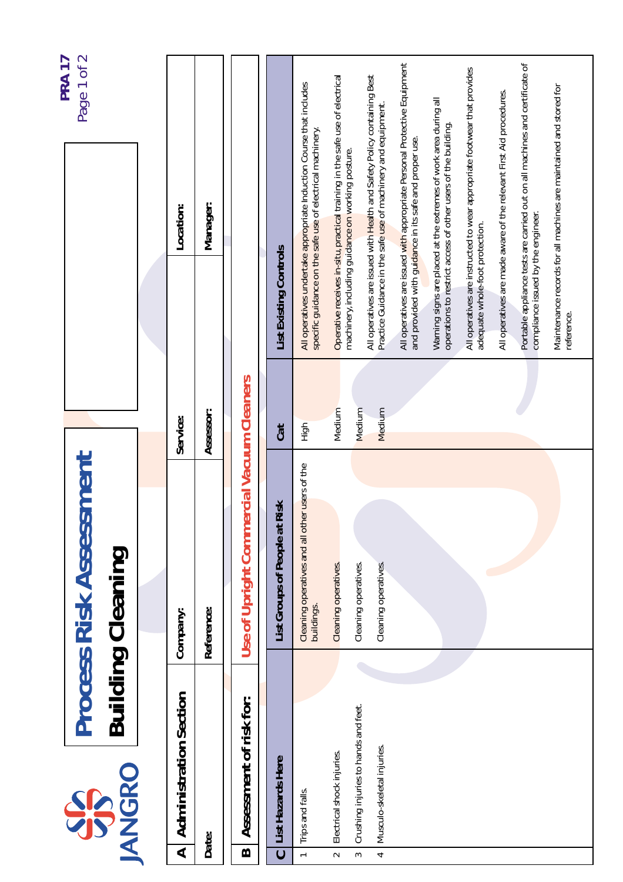|                                                                                                          | <b>Process Risk Assessment</b>                               |                  |                                                                                                                                          | Page 1 of 2<br>PRA 17 |
|----------------------------------------------------------------------------------------------------------|--------------------------------------------------------------|------------------|------------------------------------------------------------------------------------------------------------------------------------------|-----------------------|
| <b>JANGRO</b><br><b>SP</b>                                                                               | <b>Building Cleaning</b>                                     |                  |                                                                                                                                          |                       |
|                                                                                                          |                                                              |                  |                                                                                                                                          |                       |
| <b>Administration Section</b><br>⋖                                                                       | Company:                                                     | Service:         | Location:                                                                                                                                |                       |
| Date:                                                                                                    | Reference:                                                   | Assessor:        | Manager:                                                                                                                                 |                       |
| Assessment of risk for:<br>$\bf{m}$                                                                      | Use of Upright Commercial Vacuum Cleaners                    |                  |                                                                                                                                          |                       |
| List Hazards Here<br>$\mathbf 0$                                                                         | Risk<br>List Groups of People at                             | Cat              | <b>List Existing Controls</b>                                                                                                            |                       |
| Trips and falls.<br>$\overline{a}$                                                                       | Cleaning operatives and all other users of the<br>buildings. | High             | All operatives undertake appropriate Induction Course that includes<br>specific guidance on the safe use of electrical machinery.        |                       |
| Electrical shock injuries.<br>$\sim$                                                                     | Cleaning operatives.                                         | Medium           | Operative receives in-situ, practical training in the safe use of electrical<br>machinery, including guidance on working posture.        |                       |
| Crushing injuries to hands and feet.<br>Musculo-skeletal injuries.<br>$\overline{\phantom{a}}$<br>$\sim$ | Cleaning operatives.<br>Cleaning operatives.                 | Medium<br>Medium | All operatives are issued with Health and Safety Policy containing Best<br>Practice Guidance in the safe use of machinery and equipment. |                       |
|                                                                                                          |                                                              |                  | All operatives are issued with appropriate Personal Protective Equipment<br>and provided with guidance in its safe and proper use.       |                       |
|                                                                                                          |                                                              |                  | Warning signs are placed at the extremes of work area during all<br>operations to restrict access of other users of the building.        |                       |
|                                                                                                          |                                                              |                  | All operatives are instructed to wear appropriate footwear that provides<br>adequate whole-foot protection.                              |                       |
|                                                                                                          |                                                              |                  | All operatives are made aware of the relevant First Aid procedures.                                                                      |                       |
|                                                                                                          |                                                              |                  | Portable appliance tests are carried out on all machines and certificate of<br>compliance issued by the engineer.                        |                       |
|                                                                                                          |                                                              |                  | Maintenance records for all machines are maintained and stored for<br>reference.                                                         |                       |
|                                                                                                          |                                                              |                  |                                                                                                                                          |                       |